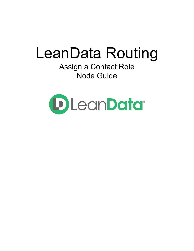# LeanData Routing

Assign a Contact Role Node Guide

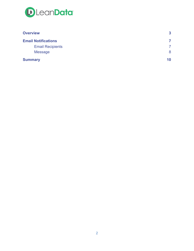

| <b>Overview</b>            | 3  |
|----------------------------|----|
| <b>Email Notifications</b> | 7  |
| <b>Email Recipients</b>    |    |
| <b>Message</b>             | 8  |
| <b>Summary</b>             | 10 |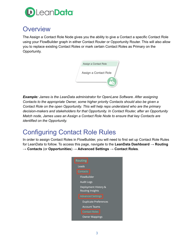

## <span id="page-2-0"></span>**Overview**

The Assign a Contact Role Node gives you the ability to give a Contact a specific Contact Role using your FlowBuilder graph in either Contact Router or Opportunity Router. This will also allow you to replace existing Contact Roles or mark certain Contact Roles as Primary on the Opportunity.



*Example: James is the LeanData administrator for OpenLane Software. After assigning Contacts to the appropriate Owner, some higher priority Contacts should also be given a Contact Role on the open Opportunity. This will help reps understand who are the primary decision-makers and stakeholders for that Opportunity. In Contact Router, after an Opportunity Match node, James uses an Assign a Contact Role Node to ensure that key Contacts are identified on the Opportunity.*

# Configuring Contact Role Rules

In order to assign Contact Roles in FlowBuilder, you will need to first set up Contact Role Rules for LeanData to follow. To access this page, navigate to the **LeanData Dashboard** → **Routing** → **Contacts** (or **Opportunities**) → **Advanced Settings** → **Contact Roles**.

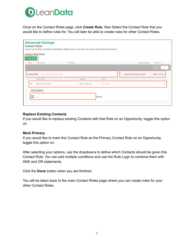

Once on the Contact Roles page, click **Create Rule**, then Select the Contact Role that you would like to define rules for. You will later be able to create rules for other Contact Roles.

| <b>Advanced Settings</b><br><b>Contact Roles</b>    | Lorem ipsum dolor sit amet, consectetuer adipiscing elit, sed diam nonummy nibh euismod tincidunt. |                                                               |
|-----------------------------------------------------|----------------------------------------------------------------------------------------------------|---------------------------------------------------------------|
| <b>Contact Role Rules</b><br>Create Rule            |                                                                                                    |                                                               |
| Order<br>Contact Role                               | Conditions                                                                                         | Primary (?)<br>Replace Existing                               |
| Find and Select Contact Role<br><b>Contact Role</b> |                                                                                                    | Cancel<br>Done<br>Replace Existing Contact(s)<br>Mark Primary |
| Contact Field                                       | Value<br>Operator                                                                                  |                                                               |
|                                                     |                                                                                                    |                                                               |
| $\mathbf{1}$<br>Select Contact Field                | Select Operator<br>Enter Value<br>$\checkmark$<br>$\diagdown$                                      | $\times$                                                      |
| <b>Add Condition</b><br>Rule<br>Logic               | Default                                                                                            |                                                               |

#### **Replace Existing Contacts**

If you would like to replace existing Contacts with that Role on an Opportunity, toggle this option on.

#### **Mark Primary**

If you would like to mark this Contact Role as the Primary Contact Role on an Opportunity, toggle this option on.

After selecting your options, use the dropdowns to define which Contacts should be given this Contact Role. You can add multiple conditions and use the Rule Logic to combine them with AND and OR statements.

Click the **Done** button when you are finished.

You will be taken back to the main Contact Roles page where you can create rules for your other Contact Roles.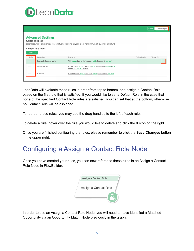

|                                            |                                                       |                                                                                                    | Save Changes<br>Cancel          |
|--------------------------------------------|-------------------------------------------------------|----------------------------------------------------------------------------------------------------|---------------------------------|
| <b>Contact Roles</b><br><b>Create Rule</b> | <b>Advanced Settings</b><br><b>Contact Role Rules</b> | Lorem ipsum dolor sit amet, consectetuer adipiscing elit, sed diam nonummy nibh euismod tincidunt. |                                 |
| Order                                      | Contact Role                                          | Conditions                                                                                         | Primary (?)<br>Replace Existing |
| $= 1$                                      | <b>Economic Decision Maker</b>                        | (Title equals Economic Manager) AND (Custom C not null)                                            | $\bullet$                       |
| 2                                          | <b>Business User</b>                                  | (Lorum ipsum equals Dolor Sit) AND (No Nummy not null) AND<br>(Conseteur equals De Ferut)          |                                 |
| 3                                          | Evaluator                                             | (Nibh Euismod equals Wisi Enim) AND (Erat Volutpat not null)                                       |                                 |
|                                            |                                                       |                                                                                                    |                                 |

LeanData will evaluate these rules in order from top to bottom, and assign a Contact Role based on the first rule that is satisfied. If you would like to set a Default Role in the case that none of the specified Contact Role rules are satisfied, you can set that at the bottom, otherwise no Contact Role will be assigned.

To reorder these rules, you may use the drag handles to the left of each rule.

To delete a rule, hover over the rule you would like to delete and click the **X** icon on the right.

Once you are finished configuring the rules, please remember to click the **Save Changes** button in the upper right.

# Configuring a Assign a Contact Role Node

Once you have created your rules, you can now reference these rules in an Assign a Contact Role Node in FlowBuilder.

| Assign a Contact Role |  |
|-----------------------|--|
| Assign a Contact Role |  |
|                       |  |

In order to use an Assign a Contact Role Node, you will need to have identified a Matched Opportunity via an Opportunity Match Node previously in the graph.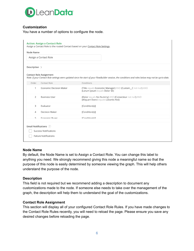

#### **Customization**

You have a number of options to configure the node.

| Node Name      |                                |                                                                                                                                                     |
|----------------|--------------------------------|-----------------------------------------------------------------------------------------------------------------------------------------------------|
|                | Assign a Contact Role          |                                                                                                                                                     |
| Description >  |                                |                                                                                                                                                     |
|                | <b>Contact Role Assignment</b> | Note: If your Contact Role settings were updated since the start of your FlowBuilder session, the conditions and roles below may not be up-to-date. |
| Order          | Contact Role                   | Conditions                                                                                                                                          |
| $\mathbf{1}$   | Economic Decision Maker        | (Title equals Economic Manager) AND (Custom_C not null) AND<br>(Lorum ipsum equals Dolor Sit)                                                       |
| 2              | <b>Business User</b>           | (Dolor equals No Nummy) AND (Consecteur not null) AND<br>(Aliquam Exerci equals Lobortis Nisl)                                                      |
| 3              | Evaluator                      | [Condition(s)]                                                                                                                                      |
| $\overline{4}$ | <b>Decision Maker</b>          | [Condition(s)]                                                                                                                                      |
| 5              | Economic Buyer                 | [Condition(s)]                                                                                                                                      |
|                |                                |                                                                                                                                                     |
|                | Email Notifications (?)        |                                                                                                                                                     |

#### **Node Name**

By default, the Node Name is set to Assign a Contact Role. You can change this label to anything you need. We strongly recommend giving this node a meaningful name so that the purpose of this node is easily determined by someone viewing the graph. This will help others understand the purpose of the node.

#### **Description**

This field is not required but we recommend adding a description to document any customizations made to the node. If someone else needs to take over the management of the graph, the description will help them to understand the goal of the customizations.

#### **Contact Role Assignment**

This section will display all of your configured Contact Role Rules. If you have made changes to the Contact Role Rules recently, you will need to reload the page. Please ensure you save any desired changes before reloading the page.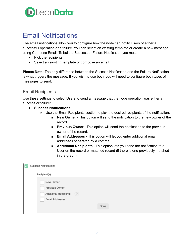

# <span id="page-6-0"></span>Email Notifications

The email notifications allow you to configure how the node can notify Users of either a successful operation or a failure. You can select an existing template or create a new message using Compose Email. To build a Success or Failure Notification you must:

- Pick the recipients
- Select an existing template or compose an email

**Please Note:** The only difference between the Success Notification and the Failure Notification is what triggers the message. If you wish to use both, you will need to configure both types of messages to send.

## <span id="page-6-1"></span>Email Recipients

Use these settings to select Users to send a message that the node operation was either a success or failure:

- **Success Notifications:**
	- Use the Email Recipients section to pick the desired recipients of the notification.
		- **New Owner** This option will send the notification to the new owner of the record.
		- **Previous Owner** This option will send the notification to the previous owner of the record.
		- **Email Addresses -** This option will let you enter additional email addresses separated by a comma.
		- **Additional Recipients** This option lets you send the notification to a User on the record or matched record (if there is one previously matched in the graph).

| Success Notifications        |      |
|------------------------------|------|
| Recipient(s)                 |      |
| New Owner                    |      |
| Previous Owner               |      |
| (7)<br>Additional Recipients |      |
| Email Addresses              |      |
|                              | Done |
|                              |      |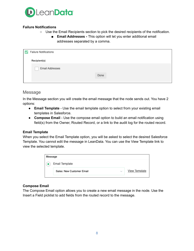

## **Failure Notifications**

- Use the Email Recipients section to pick the desired recipients of the notification.
	- **Email Addresses -** This option will let you enter additional email addresses separated by a comma.

| <b>Failure Notifications</b> |      |
|------------------------------|------|
| Recipient(s)                 |      |
| Email Addresses              |      |
|                              | Done |
|                              |      |

## <span id="page-7-0"></span>Message

In the Message section you will create the email message that the node sends out. You have 2 options:

- **Email Template** Use the email template option to select from your existing email templates in Salesforce.
- **Compose Email** Use the compose email option to build an email notification using field(s) from the Owner, Routed Record, or a link to the audit log for the routed record.

## **Email Template**

When you select the Email Template option, you will be asked to select the desired Salesforce Template. You cannot edit the message in LeanData. You can use the View Template link to view the selected template.

| Message |                           |        |                      |
|---------|---------------------------|--------|----------------------|
|         | Email Template            |        |                      |
|         | Sales: New Customer Email | $\sim$ | <b>View Template</b> |

## **Compose Email**

The Compose Email option allows you to create a new email message in the node. Use the Insert a Field picklist to add fields from the routed record to the message.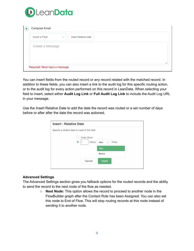

| Compose Email    |        |                      |  |  |
|------------------|--------|----------------------|--|--|
| Insert a Field   | $\sim$ | Insert Relative Date |  |  |
| Create a Message |        |                      |  |  |
|                  |        |                      |  |  |
|                  |        |                      |  |  |

You can insert fields from the routed record or any record related with the matched record. In addition to these fields, you can also insert a link to the audit log for this specific routing action, or to the audit log for every action performed on this record in LeanData. When selecting your field to insert, select either **Audit Log Link** or **Full Audit Log Link** to include the Audit Log URL in your message.

Use the Insert Relative Date to add the date the record was routed or a set number of days before or after after the date the record was actioned.

| <b>Insert - Relative Date</b>                   |                                 |
|-------------------------------------------------|---------------------------------|
| Specify a relative date to insert in the field. |                                 |
| Today (Now)                                     |                                 |
| Day(s)                                          | Today<br>After<br>$\smallsmile$ |
|                                                 | After                           |
|                                                 | Before                          |
| Cancel                                          | Insert                          |
|                                                 |                                 |

#### **Advanced Settings**

The Advanced Settings section gives you fallback options for the routed records and the ability to send the record to the next node of the flow as needed.

> ○ **Next Node:** This option allows the record to proceed to another node in the FlowBuilder graph after the Contact Role has been Assigned. You can also set this node to End of Flow. This will stop routing records at this node instead of sending it to another node.